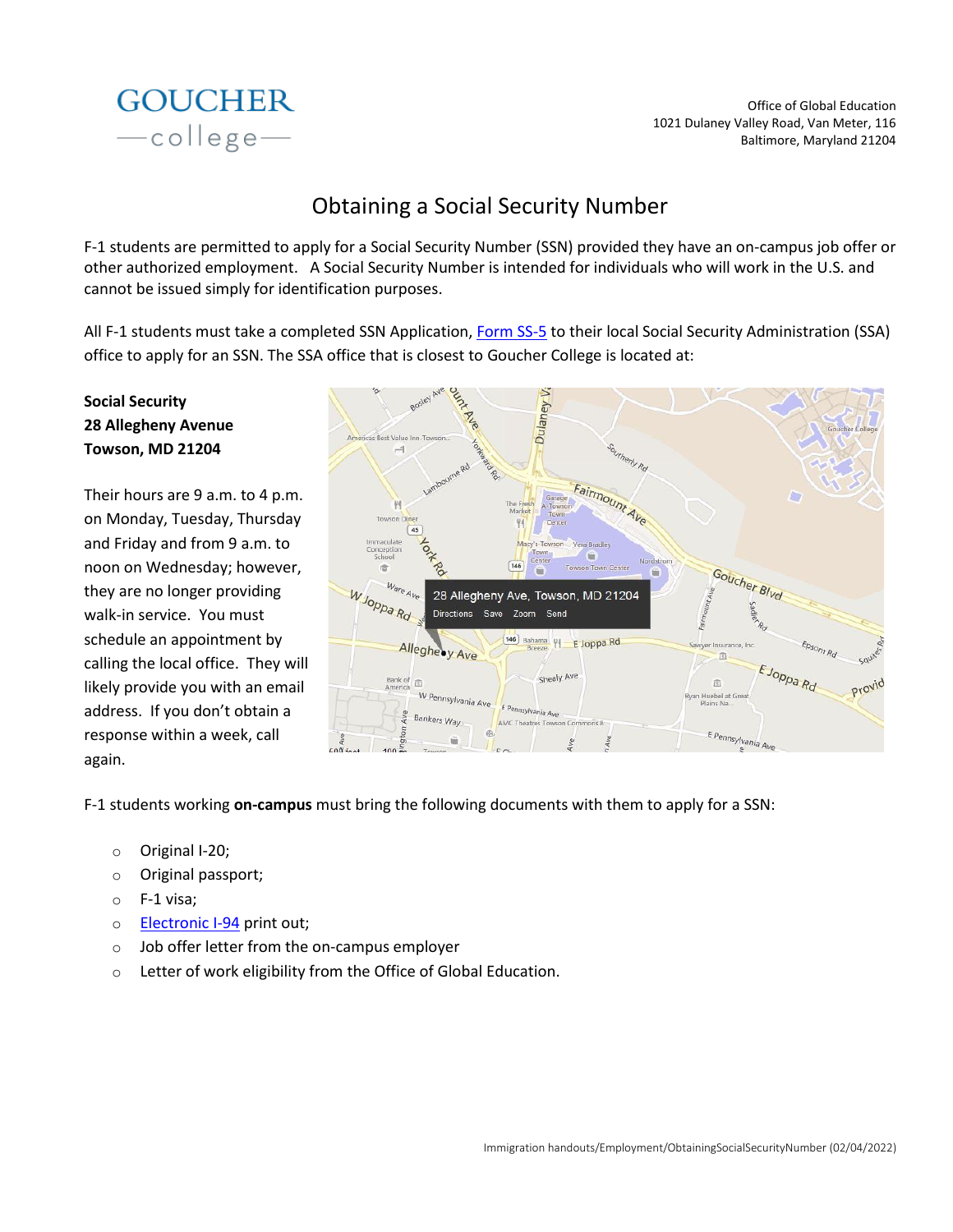

Office of Global Education 1021 Dulaney Valley Road, Van Meter, 116 Baltimore, Maryland 21204

## Obtaining a Social Security Number

F-1 students are permitted to apply for a Social Security Number (SSN) provided they have an on-campus job offer or other authorized employment. A Social Security Number is intended for individuals who will work in the U.S. and cannot be issued simply for identification purposes.

All F-1 students must take a completed SSN Application, [Form SS-5](https://www.ssa.gov/forms/ss-5.pdf) to their local Social Security Administration (SSA) office to apply for an SSN. The SSA office that is closest to Goucher College is located at:

## **Social Security 28 Allegheny Avenue Towson, MD 21204**

Their hours are 9 a.m. to 4 p.m. on Monday, Tuesday, Thursday and Friday and from 9 a.m. to noon on Wednesday; however, they are no longer providing walk-in service. You must schedule an appointment by calling the local office. They will likely provide you with an email address. If you don't obtain a response within a week, call again.



F-1 students working **on-campus** must bring the following documents with them to apply for a SSN:

- o Original I-20;
- o Original passport;
- o F-1 visa;
- o **[Electronic I-94](https://i94.cbp.dhs.gov/I94/#/home)** print out;
- o Job offer letter from the on-campus employer
- o Letter of work eligibility from the Office of Global Education.